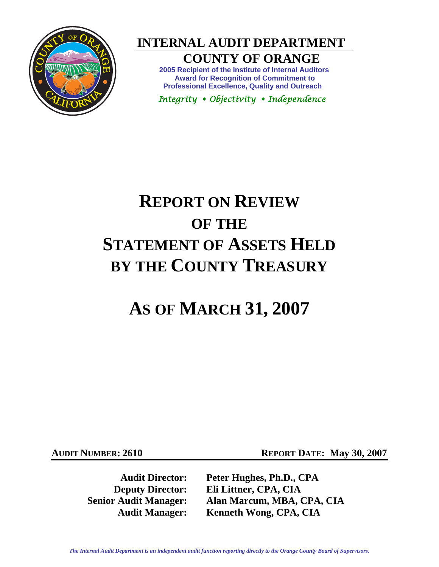

 **INTERNAL AUDIT DEPARTMENT** 

## **COUNTY OF ORANGE**

**2005 Recipient of the Institute of Internal Auditors Award for Recognition of Commitment to Professional Excellence, Quality and Outreach** 

 *Integrity Objectivity Independence* 

# **REPORT ON REVIEW OF THE STATEMENT OF ASSETS HELD BY THE COUNTY TREASURY**

## **AS OF MARCH 31, 2007**

**AUDIT NUMBER: 2610 REPORT DATE: May 30, 2007** 

**Audit Director: Peter Hughes, Ph.D., CPA Deputy Director: Eli Littner, CPA, CIA Senior Audit Manager: Alan Marcum, MBA, CPA, CIA Audit Manager: Kenneth Wong, CPA, CIA** 

*The Internal Audit Department is an independent audit function reporting directly to the Orange County Board of Supervisors.*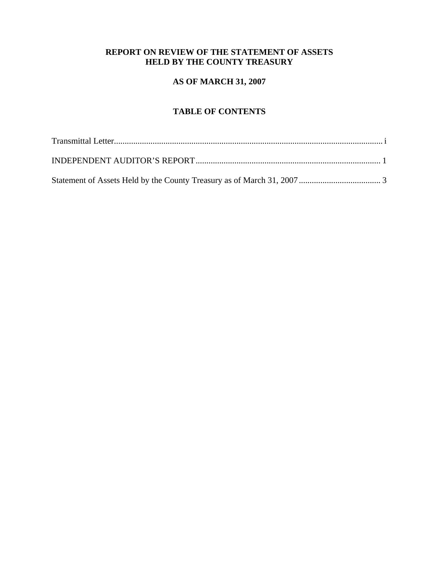## **REPORT ON REVIEW OF THE STATEMENT OF ASSETS HELD BY THE COUNTY TREASURY**

## **AS OF MARCH 31, 2007**

## **TABLE OF CONTENTS**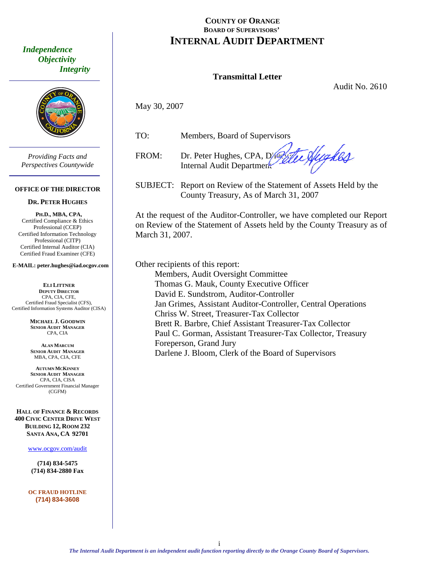<span id="page-2-0"></span> *Independence Objectivity Integrity* 



*Providing Facts and Perspectives Countywide* 

#### **OFFICE OF THE DIRECTOR**

#### **DR. PETER HUGHES**

**PH.D., MBA, CPA,**  Certified Compliance & Ethics Professional (CCEP) Certified Information Technology Professional (CITP) Certified Internal Auditor (CIA) Certified Fraud Examiner (CFE)

**E-MAIL: peter.hughes@iad.ocgov.com** 

**ELI LITTNER DEPUTY DIRECTOR** CPA, CIA, CFE, Certified Fraud Specialist (CFS), Certified Information Systems Auditor (CISA)

> **MICHAEL J. GOODWIN SENIOR AUDIT MANAGER** CPA, CIA

**ALAN MARCUM SENIOR AUDIT MANAGER** MBA, CPA, CIA, CFE

**AUTUMN MCKINNEY SENIOR AUDIT MANAGER** CPA, CIA, CISA Certified Government Financial Manager (CGFM)

**HALL OF FINANCE & RECORDS 400 CIVIC CENTER DRIVE WEST BUILDING 12, ROOM 232 SANTA ANA, CA 92701** 

www.ocgov.com/audit

**(714) 834-5475 (714) 834-2880 Fax** 

**OC FRAUD HOTLINE (714) 834-3608** 

## **COUNTY OF ORANGE BOARD OF SUPERVISORS' INTERNAL AUDIT DEPARTMENT**

### **Transmittal Letter**

Audit No. 2610

May 30, 2007

TO: Members, Board of Supervisors

FROM: Dr. Peter Hughes, CPA, Director of Clean Internal Audit Department

SUBJECT: Report on Review of the Statement of Assets Held by the County Treasury, As of March 31, 2007

At the request of the Auditor-Controller, we have completed our Report on Review of the Statement of Assets held by the County Treasury as of March 31, 2007.

Other recipients of this report: Members, Audit Oversight Committee Thomas G. Mauk, County Executive Officer David E. Sundstrom, Auditor-Controller Jan Grimes, Assistant Auditor-Controller, Central Operations Chriss W. Street, Treasurer-Tax Collector Brett R. Barbre, Chief Assistant Treasurer-Tax Collector Paul C. Gorman, Assistant Treasurer-Tax Collector, Treasury Foreperson, Grand Jury Darlene J. Bloom, Clerk of the Board of Supervisors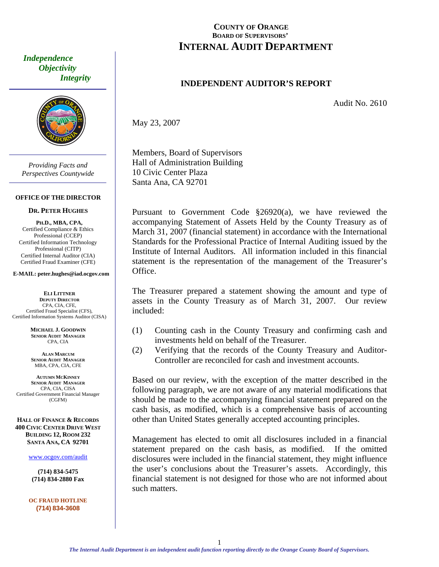<span id="page-3-0"></span> *Independence Objectivity Integrity* 



*Providing Facts and Perspectives Countywide* 

#### **OFFICE OF THE DIRECTOR**

#### **DR. PETER HUGHES**

**PH.D., MBA, CPA,**  Certified Compliance & Ethics Professional (CCEP) Certified Information Technology Professional (CITP) Certified Internal Auditor (CIA) Certified Fraud Examiner (CFE)

**E-MAIL: peter.hughes@iad.ocgov.com** 

**ELI LITTNER DEPUTY DIRECTOR** CPA, CIA, CFE, Certified Fraud Specialist (CFS), Certified Information Systems Auditor (CISA)

> **MICHAEL J. GOODWIN SENIOR AUDIT MANAGER** CPA, CIA

**ALAN MARCUM SENIOR AUDIT MANAGER** MBA, CPA, CIA, CFE

**AUTUMN MCKINNEY SENIOR AUDIT MANAGER** CPA, CIA, CISA Certified Government Financial Manager (CGFM)

**HALL OF FINANCE & RECORDS 400 CIVIC CENTER DRIVE WEST BUILDING 12, ROOM 232 SANTA ANA, CA 92701** 

www.ocgov.com/audit

**(714) 834-5475 (714) 834-2880 Fax** 

**OC FRAUD HOTLINE (714) 834-3608** 

## **COUNTY OF ORANGE BOARD OF SUPERVISORS' INTERNAL AUDIT DEPARTMENT**

### **INDEPENDENT AUDITOR'S REPORT**

Audit No. 2610

May 23, 2007

Members, Board of Supervisors Hall of Administration Building 10 Civic Center Plaza Santa Ana, CA 92701

Pursuant to Government Code §26920(a), we have reviewed the accompanying Statement of Assets Held by the County Treasury as of March 31, 2007 (financial statement) in accordance with the International Standards for the Professional Practice of Internal Auditing issued by the Institute of Internal Auditors. All information included in this financial statement is the representation of the management of the Treasurer's Office.

The Treasurer prepared a statement showing the amount and type of assets in the County Treasury as of March 31, 2007. Our review included:

- (1) Counting cash in the County Treasury and confirming cash and investments held on behalf of the Treasurer.
- (2) Verifying that the records of the County Treasury and Auditor-Controller are reconciled for cash and investment accounts.

Based on our review, with the exception of the matter described in the following paragraph, we are not aware of any material modifications that should be made to the accompanying financial statement prepared on the cash basis, as modified, which is a comprehensive basis of accounting other than United States generally accepted accounting principles.

Management has elected to omit all disclosures included in a financial statement prepared on the cash basis, as modified. If the omitted disclosures were included in the financial statement, they might influence the user's conclusions about the Treasurer's assets. Accordingly, this financial statement is not designed for those who are not informed about such matters.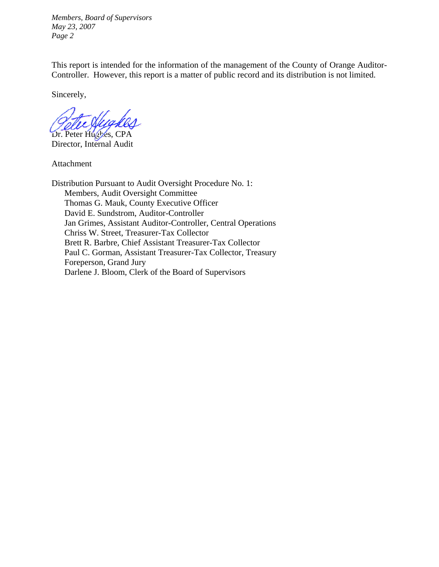*Members, Board of Supervisors May 23, 2007 Page 2* 

This report is intended for the information of the management of the County of Orange Auditor-Controller. However, this report is a matter of public record and its distribution is not limited.

Sincerely,

Dr. Peter Hughes, CPA

Director, Internal Audit

Attachment

Distribution Pursuant to Audit Oversight Procedure No. 1: Members, Audit Oversight Committee Thomas G. Mauk, County Executive Officer David E. Sundstrom, Auditor-Controller Jan Grimes, Assistant Auditor-Controller, Central Operations Chriss W. Street, Treasurer-Tax Collector Brett R. Barbre, Chief Assistant Treasurer-Tax Collector Paul C. Gorman, Assistant Treasurer-Tax Collector, Treasury Foreperson, Grand Jury Darlene J. Bloom, Clerk of the Board of Supervisors